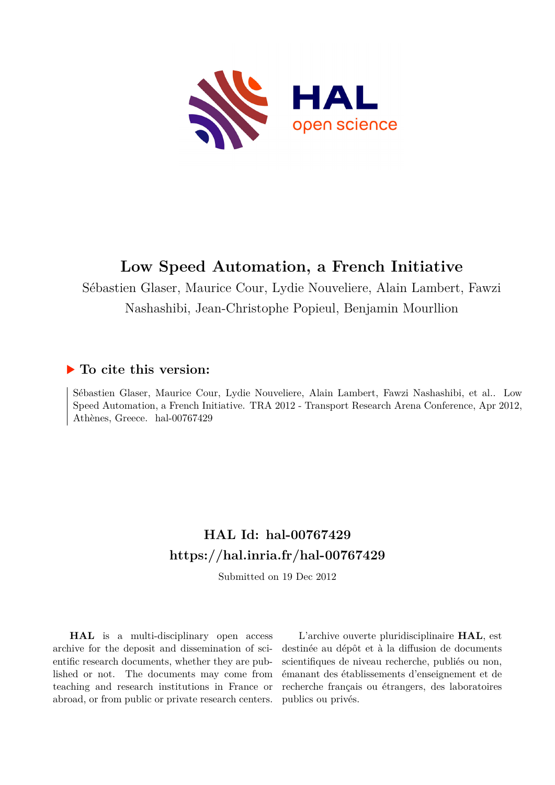

# **Low Speed Automation, a French Initiative**

Sébastien Glaser, Maurice Cour, Lydie Nouveliere, Alain Lambert, Fawzi Nashashibi, Jean-Christophe Popieul, Benjamin Mourllion

# **To cite this version:**

Sébastien Glaser, Maurice Cour, Lydie Nouveliere, Alain Lambert, Fawzi Nashashibi, et al.. Low Speed Automation, a French Initiative. TRA 2012 - Transport Research Arena Conference, Apr 2012, Athènes, Greece. hal-00767429

# **HAL Id: hal-00767429 <https://hal.inria.fr/hal-00767429>**

Submitted on 19 Dec 2012

**HAL** is a multi-disciplinary open access archive for the deposit and dissemination of scientific research documents, whether they are published or not. The documents may come from teaching and research institutions in France or abroad, or from public or private research centers.

L'archive ouverte pluridisciplinaire **HAL**, est destinée au dépôt et à la diffusion de documents scientifiques de niveau recherche, publiés ou non, émanant des établissements d'enseignement et de recherche français ou étrangers, des laboratoires publics ou privés.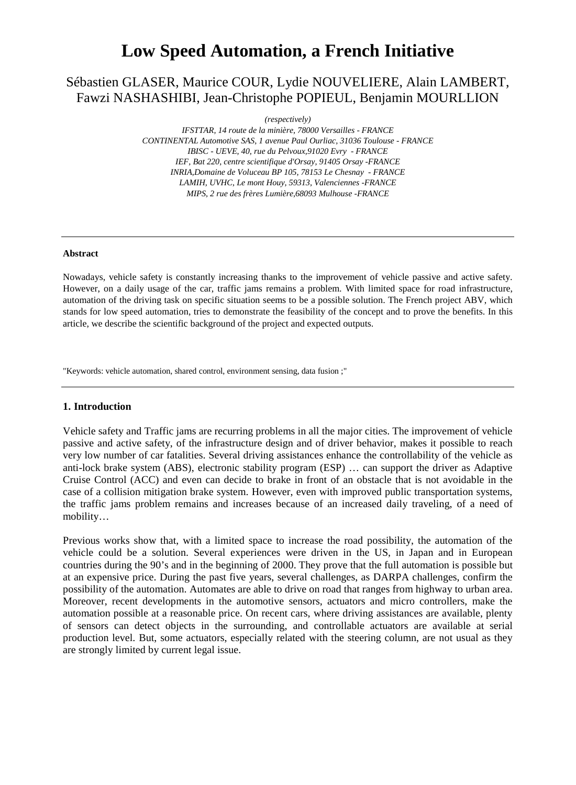# **Low Speed Automation, a French Initiative**

# Sébastien GLASER, Maurice COUR, Lydie NOUVELIERE, Alain LAMBERT, Fawzi NASHASHIBI, Jean-Christophe POPIEUL, Benjamin MOURLLION

*(respectively)*

*IFSTTAR, 14 route de la minière, 78000 Versailles - FRANCE CONTINENTAL Automotive SAS, 1 avenue Paul Ourliac, 31036 Toulouse - FRANCE IBISC - UEVE, 40, rue du Pelvoux,91020 Evry - FRANCE IEF, Bat 220, centre scientifique d'Orsay, 91405 Orsay -FRANCE INRIA,Domaine de Voluceau BP 105, 78153 Le Chesnay - FRANCE LAMIH, UVHC, Le mont Houy, 59313, Valenciennes -FRANCE MIPS, 2 rue des frères Lumière,68093 Mulhouse -FRANCE*

#### **Abstract**

Nowadays, vehicle safety is constantly increasing thanks to the improvement of vehicle passive and active safety. However, on a daily usage of the car, traffic jams remains a problem. With limited space for road infrastructure, automation of the driving task on specific situation seems to be a possible solution. The French project ABV, which stands for low speed automation, tries to demonstrate the feasibility of the concept and to prove the benefits. In this article, we describe the scientific background of the project and expected outputs.

"Keywords: vehicle automation, shared control, environment sensing, data fusion ;"

#### **1. Introduction**

Vehicle safety and Traffic jams are recurring problems in all the major cities. The improvement of vehicle passive and active safety, of the infrastructure design and of driver behavior, makes it possible to reach very low number of car fatalities. Several driving assistances enhance the controllability of the vehicle as anti-lock brake system (ABS), electronic stability program (ESP) … can support the driver as Adaptive Cruise Control (ACC) and even can decide to brake in front of an obstacle that is not avoidable in the case of a collision mitigation brake system. However, even with improved public transportation systems, the traffic jams problem remains and increases because of an increased daily traveling, of a need of mobility…

Previous works show that, with a limited space to increase the road possibility, the automation of the vehicle could be a solution. Several experiences were driven in the US, in Japan and in European countries during the 90's and in the beginning of 2000. They prove that the full automation is possible but at an expensive price. During the past five years, several challenges, as DARPA challenges, confirm the possibility of the automation. Automates are able to drive on road that ranges from highway to urban area. Moreover, recent developments in the automotive sensors, actuators and micro controllers, make the automation possible at a reasonable price. On recent cars, where driving assistances are available, plenty of sensors can detect objects in the surrounding, and controllable actuators are available at serial production level. But, some actuators, especially related with the steering column, are not usual as they are strongly limited by current legal issue.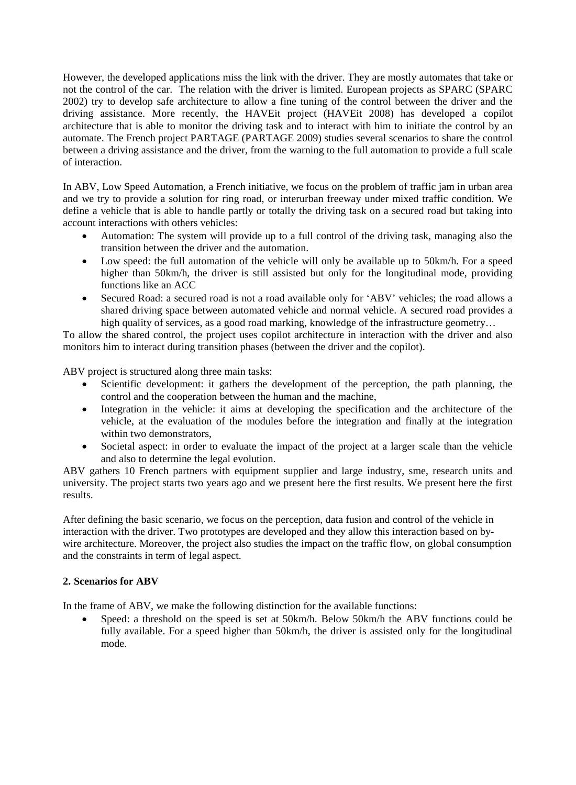However, the developed applications miss the link with the driver. They are mostly automates that take or not the control of the car. The relation with the driver is limited. European projects as SPARC (SPARC 2002) try to develop safe architecture to allow a fine tuning of the control between the driver and the driving assistance. More recently, the HAVEit project (HAVEit 2008) has developed a copilot architecture that is able to monitor the driving task and to interact with him to initiate the control by an automate. The French project PARTAGE (PARTAGE 2009) studies several scenarios to share the control between a driving assistance and the driver, from the warning to the full automation to provide a full scale of interaction.

In ABV, Low Speed Automation, a French initiative, we focus on the problem of traffic jam in urban area and we try to provide a solution for ring road, or interurban freeway under mixed traffic condition. We define a vehicle that is able to handle partly or totally the driving task on a secured road but taking into account interactions with others vehicles:

- Automation: The system will provide up to a full control of the driving task, managing also the transition between the driver and the automation.
- Low speed: the full automation of the vehicle will only be available up to 50km/h. For a speed higher than 50km/h, the driver is still assisted but only for the longitudinal mode, providing functions like an ACC
- Secured Road: a secured road is not a road available only for 'ABV' vehicles; the road allows a shared driving space between automated vehicle and normal vehicle. A secured road provides a high quality of services, as a good road marking, knowledge of the infrastructure geometry...

To allow the shared control, the project uses copilot architecture in interaction with the driver and also monitors him to interact during transition phases (between the driver and the copilot).

ABV project is structured along three main tasks:

- Scientific development: it gathers the development of the perception, the path planning, the control and the cooperation between the human and the machine,
- Integration in the vehicle: it aims at developing the specification and the architecture of the vehicle, at the evaluation of the modules before the integration and finally at the integration within two demonstrators,
- Societal aspect: in order to evaluate the impact of the project at a larger scale than the vehicle and also to determine the legal evolution.

ABV gathers 10 French partners with equipment supplier and large industry, sme, research units and university. The project starts two years ago and we present here the first results. We present here the first results.

After defining the basic scenario, we focus on the perception, data fusion and control of the vehicle in interaction with the driver. Two prototypes are developed and they allow this interaction based on bywire architecture. Moreover, the project also studies the impact on the traffic flow, on global consumption and the constraints in term of legal aspect.

# **2. Scenarios for ABV**

In the frame of ABV, we make the following distinction for the available functions:

• Speed: a threshold on the speed is set at 50km/h. Below 50km/h the ABV functions could be fully available. For a speed higher than 50km/h, the driver is assisted only for the longitudinal mode.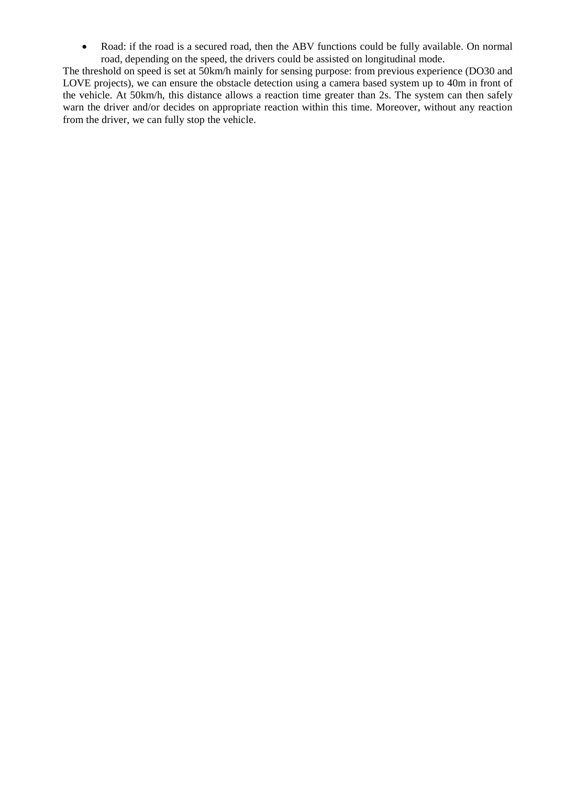• Road: if the road is a secured road, then the ABV functions could be fully available. On normal road, depending on the speed, the drivers could be assisted on longitudinal mode.

The threshold on speed is set at 50km/h mainly for sensing purpose: from previous experience (DO30 and LOVE projects), we can ensure the obstacle detection using a camera based system up to 40m in front of the vehicle. At 50km/h, this distance allows a reaction time greater than 2s. The system can then safely warn the driver and/or decides on appropriate reaction within this time. Moreover, without any reaction from the driver, we can fully stop the vehicle.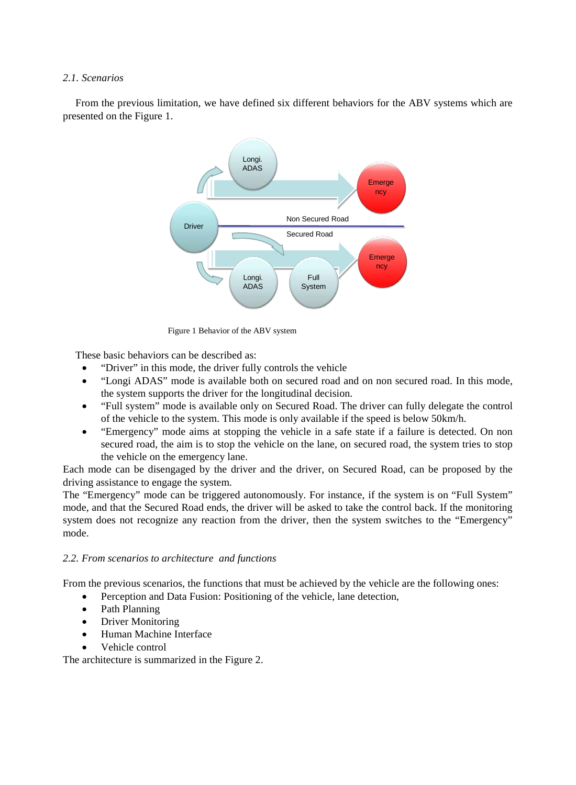# *2.1. Scenarios*

From the previous limitation, we have defined six different behaviors for the ABV systems which are presented on the [Figure 1.](#page-4-0)



<span id="page-4-0"></span>Figure 1 Behavior of the ABV system

These basic behaviors can be described as:

- "Driver" in this mode, the driver fully controls the vehicle
- "Longi ADAS" mode is available both on secured road and on non secured road. In this mode, the system supports the driver for the longitudinal decision.
- "Full system" mode is available only on Secured Road. The driver can fully delegate the control of the vehicle to the system. This mode is only available if the speed is below 50km/h.
- "Emergency" mode aims at stopping the vehicle in a safe state if a failure is detected. On non secured road, the aim is to stop the vehicle on the lane, on secured road, the system tries to stop the vehicle on the emergency lane.

Each mode can be disengaged by the driver and the driver, on Secured Road, can be proposed by the driving assistance to engage the system.

The "Emergency" mode can be triggered autonomously. For instance, if the system is on "Full System" mode, and that the Secured Road ends, the driver will be asked to take the control back. If the monitoring system does not recognize any reaction from the driver, then the system switches to the "Emergency" mode.

# *2.2. From scenarios to architecture and functions*

From the previous scenarios, the functions that must be achieved by the vehicle are the following ones:

- Perception and Data Fusion: Positioning of the vehicle, lane detection,
- Path Planning
- Driver Monitoring
- Human Machine Interface
- Vehicle control

The architecture is summarized in the [Figure 2.](#page-5-0)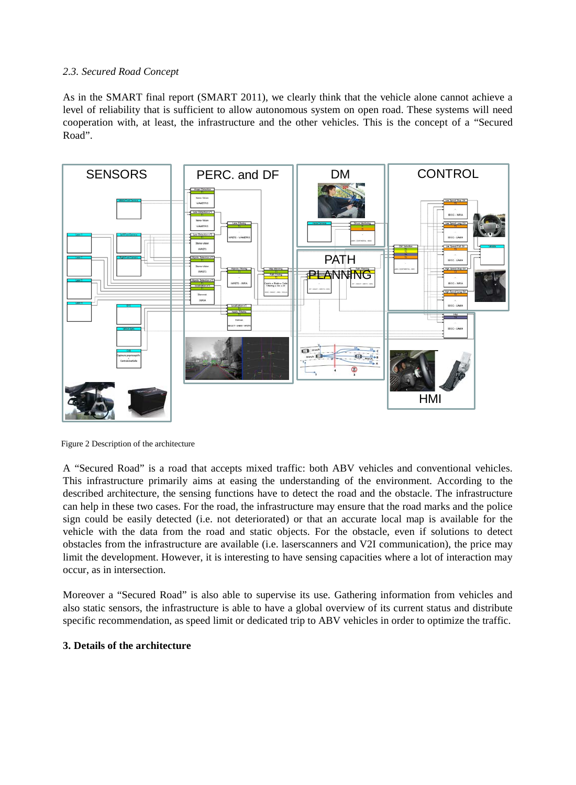# *2.3. Secured Road Concept*

As in the SMART final report (SMART 2011), we clearly think that the vehicle alone cannot achieve a level of reliability that is sufficient to allow autonomous system on open road. These systems will need cooperation with, at least, the infrastructure and the other vehicles. This is the concept of a "Secured Road".



<span id="page-5-0"></span>Figure 2 Description of the architecture

A "Secured Road" is a road that accepts mixed traffic: both ABV vehicles and conventional vehicles. This infrastructure primarily aims at easing the understanding of the environment. According to the described architecture, the sensing functions have to detect the road and the obstacle. The infrastructure can help in these two cases. For the road, the infrastructure may ensure that the road marks and the police sign could be easily detected (i.e. not deteriorated) or that an accurate local map is available for the vehicle with the data from the road and static objects. For the obstacle, even if solutions to detect obstacles from the infrastructure are available (i.e. laserscanners and V2I communication), the price may limit the development. However, it is interesting to have sensing capacities where a lot of interaction may occur, as in intersection.

Moreover a "Secured Road" is also able to supervise its use. Gathering information from vehicles and also static sensors, the infrastructure is able to have a global overview of its current status and distribute specific recommendation, as speed limit or dedicated trip to ABV vehicles in order to optimize the traffic.

# **3. Details of the architecture**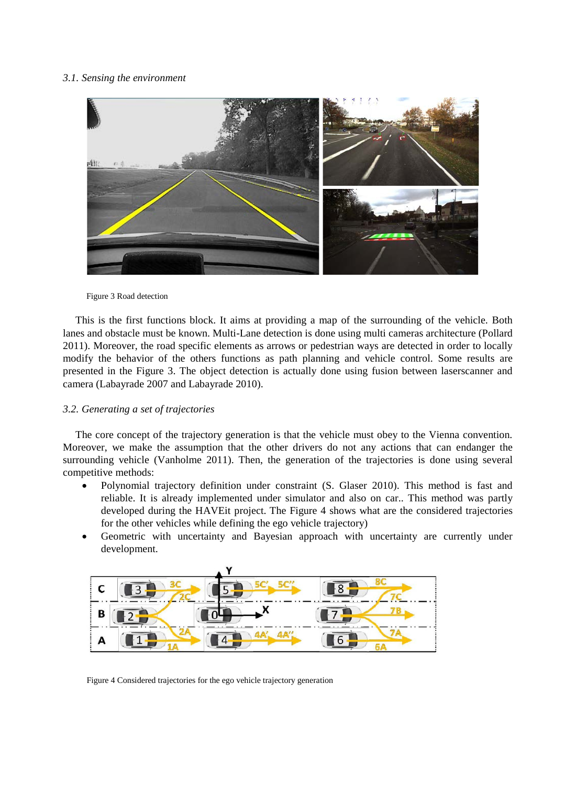#### *3.1. Sensing the environment*



<span id="page-6-0"></span>Figure 3 Road detection

This is the first functions block. It aims at providing a map of the surrounding of the vehicle. Both lanes and obstacle must be known. Multi-Lane detection is done using multi cameras architecture (Pollard 2011). Moreover, the road specific elements as arrows or pedestrian ways are detected in order to locally modify the behavior of the others functions as path planning and vehicle control. Some results are presented in the [Figure 3.](#page-6-0) The object detection is actually done using fusion between laserscanner and camera (Labayrade 2007 and Labayrade 2010).

#### *3.2. Generating a set of trajectories*

The core concept of the trajectory generation is that the vehicle must obey to the Vienna convention. Moreover, we make the assumption that the other drivers do not any actions that can endanger the surrounding vehicle (Vanholme 2011). Then, the generation of the trajectories is done using several competitive methods:

- Polynomial trajectory definition under constraint (S. Glaser 2010). This method is fast and reliable. It is already implemented under simulator and also on car.. This method was partly developed during the HAVEit project. The [Figure 4](#page-6-1) shows what are the considered trajectories for the other vehicles while defining the ego vehicle trajectory)
- Geometric with uncertainty and Bayesian approach with uncertainty are currently under development.

<span id="page-6-1"></span>

Figure 4 Considered trajectories for the ego vehicle trajectory generation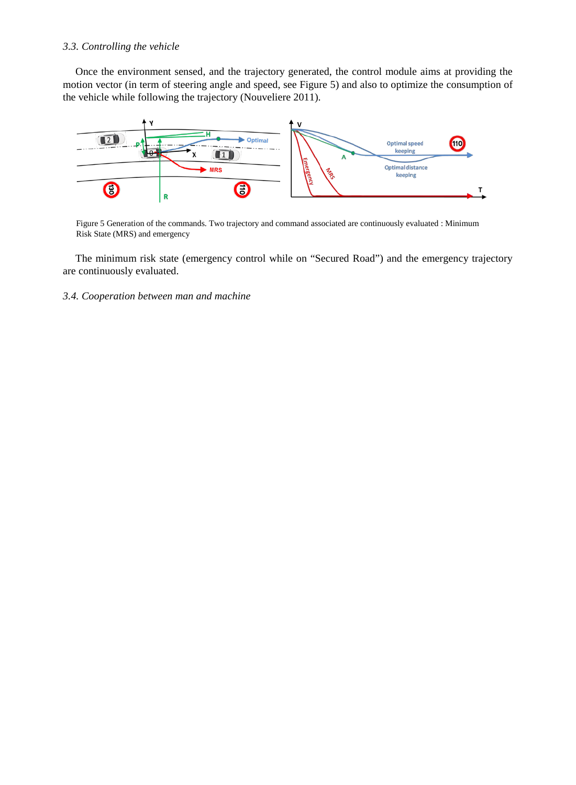# *3.3. Controlling the vehicle*

Once the environment sensed, and the trajectory generated, the control module aims at providing the motion vector (in term of steering angle and speed, see [Figure 5\)](#page-7-0) and also to optimize the consumption of the vehicle while following the trajectory (Nouveliere 2011).



<span id="page-7-0"></span>Figure 5 Generation of the commands. Two trajectory and command associated are continuously evaluated : Minimum Risk State (MRS) and emergency

The minimum risk state (emergency control while on "Secured Road") and the emergency trajectory are continuously evaluated.

*3.4. Cooperation between man and machine*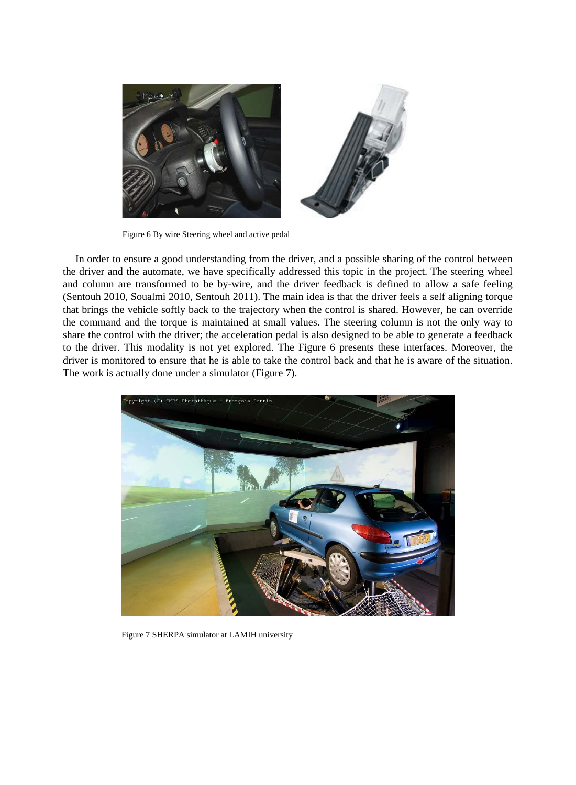

Figure 6 By wire Steering wheel and active pedal

<span id="page-8-0"></span>In order to ensure a good understanding from the driver, and a possible sharing of the control between the driver and the automate, we have specifically addressed this topic in the project. The steering wheel and column are transformed to be by-wire, and the driver feedback is defined to allow a safe feeling (Sentouh 2010, Soualmi 2010, Sentouh 2011). The main idea is that the driver feels a self aligning torque that brings the vehicle softly back to the trajectory when the control is shared. However, he can override the command and the torque is maintained at small values. The steering column is not the only way to share the control with the driver; the acceleration pedal is also designed to be able to generate a feedback to the driver. This modality is not yet explored. The [Figure 6](#page-8-0) presents these interfaces. Moreover, the driver is monitored to ensure that he is able to take the control back and that he is aware of the situation. The work is actually done under a simulator [\(Figure 7\)](#page-8-1).

<span id="page-8-1"></span>

Figure 7 SHERPA simulator at LAMIH university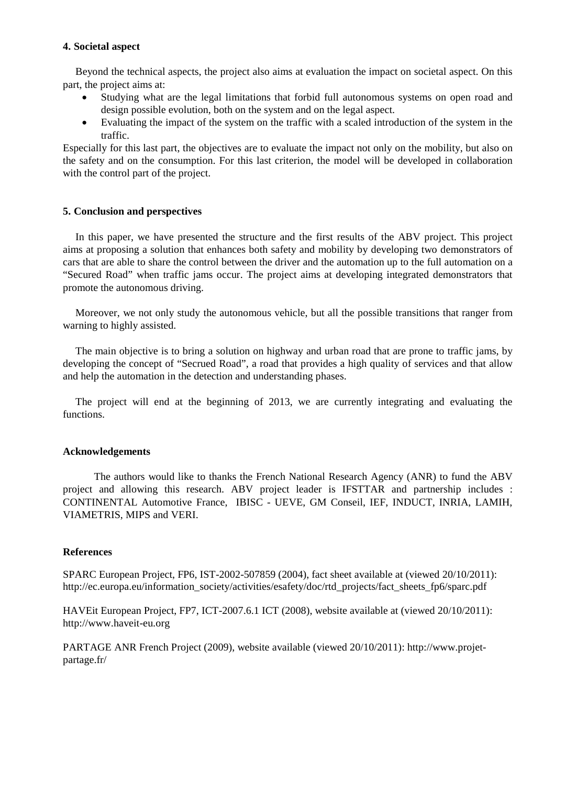# **4. Societal aspect**

Beyond the technical aspects, the project also aims at evaluation the impact on societal aspect. On this part, the project aims at:

- Studying what are the legal limitations that forbid full autonomous systems on open road and design possible evolution, both on the system and on the legal aspect.
- Evaluating the impact of the system on the traffic with a scaled introduction of the system in the traffic.

Especially for this last part, the objectives are to evaluate the impact not only on the mobility, but also on the safety and on the consumption. For this last criterion, the model will be developed in collaboration with the control part of the project.

# **5. Conclusion and perspectives**

In this paper, we have presented the structure and the first results of the ABV project. This project aims at proposing a solution that enhances both safety and mobility by developing two demonstrators of cars that are able to share the control between the driver and the automation up to the full automation on a "Secured Road" when traffic jams occur. The project aims at developing integrated demonstrators that promote the autonomous driving.

Moreover, we not only study the autonomous vehicle, but all the possible transitions that ranger from warning to highly assisted.

The main objective is to bring a solution on highway and urban road that are prone to traffic jams, by developing the concept of "Secrued Road", a road that provides a high quality of services and that allow and help the automation in the detection and understanding phases.

The project will end at the beginning of 2013, we are currently integrating and evaluating the functions.

# **Acknowledgements**

 The authors would like to thanks the French National Research Agency (ANR) to fund the ABV project and allowing this research. ABV project leader is IFSTTAR and partnership includes : CONTINENTAL Automotive France, IBISC - UEVE, GM Conseil, IEF, INDUCT, INRIA, LAMIH, VIAMETRIS, MIPS and VERI.

# **References**

SPARC European Project, FP6, IST-2002-507859 (2004), fact sheet available at (viewed 20/10/2011): [http://ec.europa.eu/information\\_society/activities/esafety/doc/rtd\\_projects/fact\\_sheets\\_fp6/sparc.pdf](http://ec.europa.eu/information_society/activities/esafety/doc/rtd_projects/fact_sheets_fp6/sparc.pdf)

HAVEit European Project, FP7, ICT-2007.6.1 ICT (2008), website available at (viewed 20/10/2011): [http://www.haveit-eu.org](http://www.haveit-eu.org/)

PARTAGE ANR French Project (2009), website available (viewed 20/10/2011): [http://www.projet](http://www.projet-partage.fr/)[partage.fr/](http://www.projet-partage.fr/)